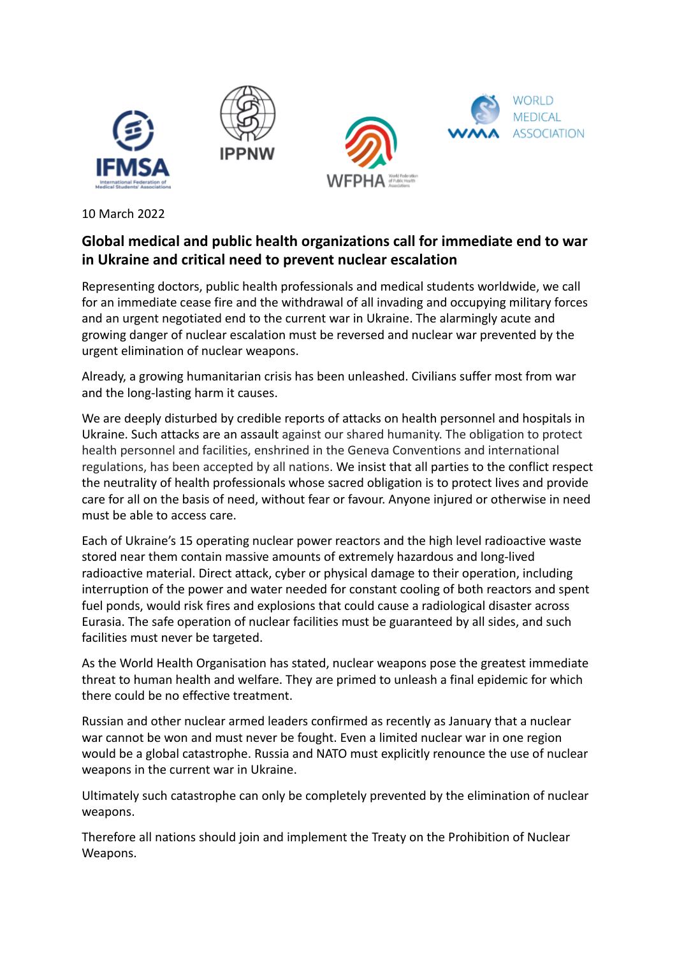

10 March 2022

## **Global medical and public health organizations call for immediate end to war in Ukraine and critical need to prevent nuclear escalation**

Representing doctors, public health professionals and medical students worldwide, we call for an immediate cease fire and the withdrawal of all invading and occupying military forces and an urgent negotiated end to the current war in Ukraine. The alarmingly acute and growing danger of nuclear escalation must be reversed and nuclear war prevented by the urgent elimination of nuclear weapons.

Already, a growing humanitarian crisis has been unleashed. Civilians suffer most from war and the long-lasting harm it causes.

We are deeply disturbed by credible reports of attacks on health personnel and hospitals in Ukraine. Such attacks are an assault against our shared humanity. The obligation to protect health personnel and facilities, enshrined in the Geneva Conventions and international regulations, has been accepted by all nations. We insist that all parties to the conflict respect the neutrality of health professionals whose sacred obligation is to protect lives and provide care for all on the basis of need, without fear or favour. Anyone injured or otherwise in need must be able to access care.

Each of Ukraine's 15 operating nuclear power reactors and the high level radioactive waste stored near them contain massive amounts of extremely hazardous and long-lived radioactive material. Direct attack, cyber or physical damage to their operation, including interruption of the power and water needed for constant cooling of both reactors and spent fuel ponds, would risk fires and explosions that could cause a radiological disaster across Eurasia. The safe operation of nuclear facilities must be guaranteed by all sides, and such facilities must never be targeted.

As the World Health Organisation has stated, nuclear weapons pose the greatest immediate threat to human health and welfare. They are primed to unleash a final epidemic for which there could be no effective treatment.

Russian and other nuclear armed leaders confirmed as recently as January that a nuclear war cannot be won and must never be fought. Even a limited nuclear war in one region would be a global catastrophe. Russia and NATO must explicitly renounce the use of nuclear weapons in the current war in Ukraine.

Ultimately such catastrophe can only be completely prevented by the elimination of nuclear weapons.

Therefore all nations should join and implement the Treaty on the Prohibition of Nuclear Weapons.